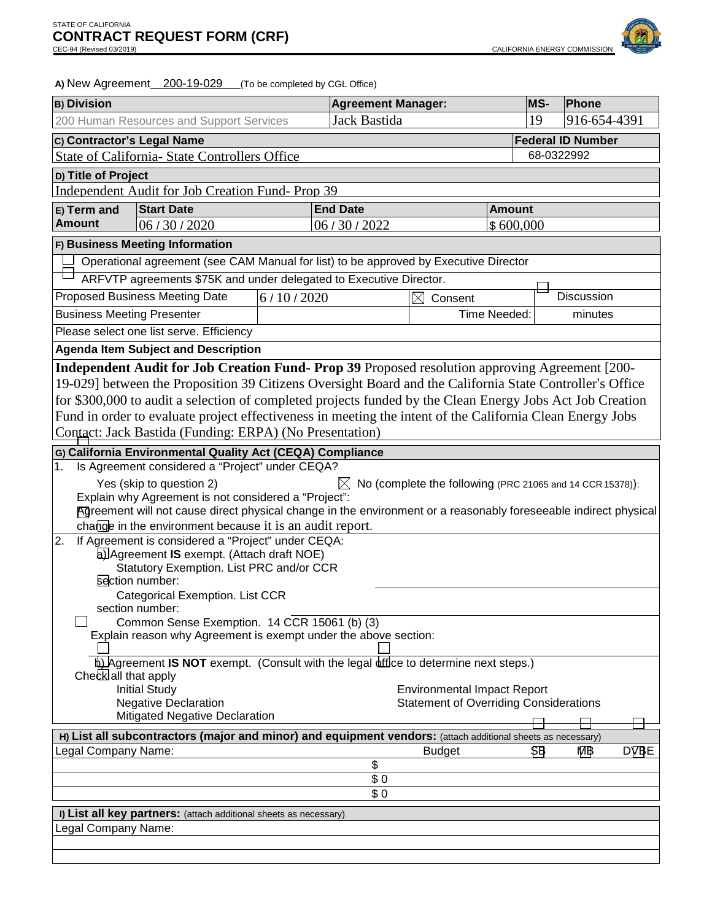

A) New Agreement 200-19-029 (To be completed by CGL Office)

| <b>B) Division</b>                                                                                          |                                                                                                                                                                              |                 | <b>Agreement Manager:</b> |                                                           |            | <b>MS-</b>        | Phone                    |             |
|-------------------------------------------------------------------------------------------------------------|------------------------------------------------------------------------------------------------------------------------------------------------------------------------------|-----------------|---------------------------|-----------------------------------------------------------|------------|-------------------|--------------------------|-------------|
| 200 Human Resources and Support Services                                                                    |                                                                                                                                                                              |                 | Jack Bastida              |                                                           |            | 19                | 916-654-4391             |             |
| C) Contractor's Legal Name                                                                                  |                                                                                                                                                                              |                 |                           |                                                           |            |                   | <b>Federal ID Number</b> |             |
|                                                                                                             | State of California- State Controllers Office                                                                                                                                |                 |                           |                                                           | 68-0322992 |                   |                          |             |
|                                                                                                             | D) Title of Project                                                                                                                                                          |                 |                           |                                                           |            |                   |                          |             |
|                                                                                                             | Independent Audit for Job Creation Fund-Prop 39                                                                                                                              |                 |                           |                                                           |            |                   |                          |             |
| E) Term and                                                                                                 | <b>Start Date</b>                                                                                                                                                            | <b>End Date</b> |                           | <b>Amount</b>                                             |            |                   |                          |             |
| <b>Amount</b><br>06/30/2020                                                                                 |                                                                                                                                                                              | 06/30/2022      | \$600,000                 |                                                           |            |                   |                          |             |
| F) Business Meeting Information                                                                             |                                                                                                                                                                              |                 |                           |                                                           |            |                   |                          |             |
|                                                                                                             | Operational agreement (see CAM Manual for list) to be approved by Executive Director                                                                                         |                 |                           |                                                           |            |                   |                          |             |
|                                                                                                             | ARFVTP agreements \$75K and under delegated to Executive Director.                                                                                                           |                 |                           |                                                           |            |                   |                          |             |
|                                                                                                             | <b>Proposed Business Meeting Date</b>                                                                                                                                        | 6/10/2020       | $\times$<br>Consent       |                                                           |            | <b>Discussion</b> |                          |             |
| <b>Business Meeting Presenter</b>                                                                           |                                                                                                                                                                              |                 |                           | Time Needed:                                              |            |                   | minutes                  |             |
|                                                                                                             | Please select one list serve. Efficiency                                                                                                                                     |                 |                           |                                                           |            |                   |                          |             |
|                                                                                                             | <b>Agenda Item Subject and Description</b>                                                                                                                                   |                 |                           |                                                           |            |                   |                          |             |
|                                                                                                             | Independent Audit for Job Creation Fund- Prop 39 Proposed resolution approving Agreement [200-                                                                               |                 |                           |                                                           |            |                   |                          |             |
|                                                                                                             | 19-029] between the Proposition 39 Citizens Oversight Board and the California State Controller's Office                                                                     |                 |                           |                                                           |            |                   |                          |             |
|                                                                                                             | for \$300,000 to audit a selection of completed projects funded by the Clean Energy Jobs Act Job Creation                                                                    |                 |                           |                                                           |            |                   |                          |             |
|                                                                                                             | Fund in order to evaluate project effectiveness in meeting the intent of the California Clean Energy Jobs                                                                    |                 |                           |                                                           |            |                   |                          |             |
|                                                                                                             | Contact: Jack Bastida (Funding: ERPA) (No Presentation)                                                                                                                      |                 |                           |                                                           |            |                   |                          |             |
|                                                                                                             | G) California Environmental Quality Act (CEQA) Compliance                                                                                                                    |                 |                           |                                                           |            |                   |                          |             |
| 1.                                                                                                          | Is Agreement considered a "Project" under CEQA?                                                                                                                              |                 |                           |                                                           |            |                   |                          |             |
|                                                                                                             | Yes (skip to question 2)                                                                                                                                                     |                 |                           | No (complete the following (PRC 21065 and 14 CCR 15378)): |            |                   |                          |             |
|                                                                                                             | Explain why Agreement is not considered a "Project":                                                                                                                         |                 |                           |                                                           |            |                   |                          |             |
|                                                                                                             | Agreement will not cause direct physical change in the environment or a reasonably foreseeable indirect physical<br>change in the environment because it is an audit report. |                 |                           |                                                           |            |                   |                          |             |
| 2.                                                                                                          | If Agreement is considered a "Project" under CEQA:                                                                                                                           |                 |                           |                                                           |            |                   |                          |             |
|                                                                                                             | al Agreement IS exempt. (Attach draft NOE)                                                                                                                                   |                 |                           |                                                           |            |                   |                          |             |
|                                                                                                             | Statutory Exemption. List PRC and/or CCR                                                                                                                                     |                 |                           |                                                           |            |                   |                          |             |
|                                                                                                             | section number:                                                                                                                                                              |                 |                           |                                                           |            |                   |                          |             |
| Categorical Exemption. List CCR<br>section number:                                                          |                                                                                                                                                                              |                 |                           |                                                           |            |                   |                          |             |
| Common Sense Exemption. 14 CCR 15061 (b) (3)                                                                |                                                                                                                                                                              |                 |                           |                                                           |            |                   |                          |             |
|                                                                                                             | Explain reason why Agreement is exempt under the above section:                                                                                                              |                 |                           |                                                           |            |                   |                          |             |
| b) Agreement IS NOT exempt. (Consult with the legal diffice to determine next steps.)                       |                                                                                                                                                                              |                 |                           |                                                           |            |                   |                          |             |
| Check all that apply                                                                                        |                                                                                                                                                                              |                 |                           |                                                           |            |                   |                          |             |
|                                                                                                             | <b>Initial Study</b>                                                                                                                                                         |                 |                           | <b>Environmental Impact Report</b>                        |            |                   |                          |             |
| <b>Negative Declaration</b>                                                                                 |                                                                                                                                                                              |                 |                           | <b>Statement of Overriding Considerations</b>             |            |                   |                          |             |
| <b>Mitigated Negative Declaration</b>                                                                       |                                                                                                                                                                              |                 |                           |                                                           |            |                   |                          |             |
| H) List all subcontractors (major and minor) and equipment vendors: (attach additional sheets as necessary) |                                                                                                                                                                              |                 |                           |                                                           |            |                   |                          |             |
| Legal Company Name:                                                                                         |                                                                                                                                                                              |                 | \$                        | <b>Budget</b>                                             |            | \$B               | MВ                       | <b>DVBE</b> |
| \$0                                                                                                         |                                                                                                                                                                              |                 |                           |                                                           |            |                   |                          |             |
| \$0                                                                                                         |                                                                                                                                                                              |                 |                           |                                                           |            |                   |                          |             |
| I) List all key partners: (attach additional sheets as necessary)                                           |                                                                                                                                                                              |                 |                           |                                                           |            |                   |                          |             |
| Legal Company Name:                                                                                         |                                                                                                                                                                              |                 |                           |                                                           |            |                   |                          |             |
|                                                                                                             |                                                                                                                                                                              |                 |                           |                                                           |            |                   |                          |             |
|                                                                                                             |                                                                                                                                                                              |                 |                           |                                                           |            |                   |                          |             |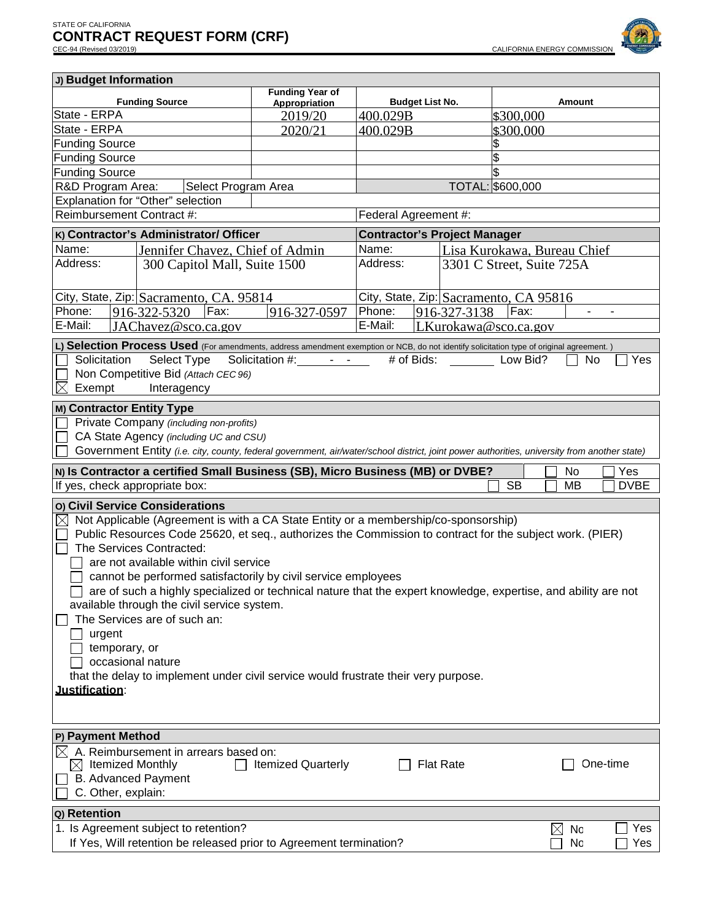

| J) Budget Information                                                               |                                          |                                                                                             |                                                          |                  |                                                                                                                                              |  |  |
|-------------------------------------------------------------------------------------|------------------------------------------|---------------------------------------------------------------------------------------------|----------------------------------------------------------|------------------|----------------------------------------------------------------------------------------------------------------------------------------------|--|--|
|                                                                                     |                                          | <b>Funding Year of</b>                                                                      |                                                          |                  |                                                                                                                                              |  |  |
| <b>Funding Source</b><br>State - ERPA                                               |                                          | Appropriation                                                                               | <b>Budget List No.</b>                                   |                  | Amount                                                                                                                                       |  |  |
| State - ERPA                                                                        |                                          | 2019/20                                                                                     | 400.029B                                                 |                  | \$300,000                                                                                                                                    |  |  |
| <b>Funding Source</b>                                                               |                                          | 2020/21                                                                                     | 400.029B                                                 |                  | \$300,000                                                                                                                                    |  |  |
| <b>Funding Source</b>                                                               |                                          |                                                                                             |                                                          |                  | \$                                                                                                                                           |  |  |
| Funding Source                                                                      |                                          |                                                                                             |                                                          |                  | 9                                                                                                                                            |  |  |
| R&D Program Area:                                                                   |                                          |                                                                                             |                                                          |                  |                                                                                                                                              |  |  |
| <b>TOTAL: \$600,000</b><br>Select Program Area<br>Explanation for "Other" selection |                                          |                                                                                             |                                                          |                  |                                                                                                                                              |  |  |
| Reimbursement Contract #:                                                           |                                          | Federal Agreement #:                                                                        |                                                          |                  |                                                                                                                                              |  |  |
|                                                                                     |                                          |                                                                                             |                                                          |                  |                                                                                                                                              |  |  |
| K) Contractor's Administrator/ Officer                                              |                                          |                                                                                             | <b>Contractor's Project Manager</b>                      |                  |                                                                                                                                              |  |  |
| Name:<br>Jennifer Chavez, Chief of Admin                                            |                                          |                                                                                             | Name:                                                    |                  | Lisa Kurokawa, Bureau Chief                                                                                                                  |  |  |
|                                                                                     | Address:<br>300 Capitol Mall, Suite 1500 |                                                                                             | Address:                                                 |                  | 3301 C Street, Suite 725A                                                                                                                    |  |  |
|                                                                                     |                                          |                                                                                             |                                                          |                  |                                                                                                                                              |  |  |
| City, State, Zip: Sacramento, CA. 95814                                             |                                          |                                                                                             | City, State, Zip: Sacramento, CA 95816                   |                  |                                                                                                                                              |  |  |
| Phone:<br>916-322-5320                                                              | Fax:                                     | 916-327-0597                                                                                | Phone:                                                   | 916-327-3138     | Fax:<br>$\blacksquare$                                                                                                                       |  |  |
| E-Mail:                                                                             | JAChavez@sco.ca.gov                      |                                                                                             | E-Mail:                                                  |                  | LKurokawa@sco.ca.gov                                                                                                                         |  |  |
|                                                                                     |                                          |                                                                                             |                                                          |                  | L) Selection Process Used (For amendments, address amendment exemption or NCB, do not identify solicitation type of original agreement.)     |  |  |
| Solicitation                                                                        | Select Type                              | Solicitation #:                                                                             | $\Delta \phi = \Delta \phi$ , where $\phi$<br># of Bids: |                  | Low Bid?<br>No<br>Yes                                                                                                                        |  |  |
| Non Competitive Bid (Attach CEC 96)                                                 |                                          |                                                                                             |                                                          |                  |                                                                                                                                              |  |  |
| X<br>Exempt                                                                         | Interagency                              |                                                                                             |                                                          |                  |                                                                                                                                              |  |  |
| M) Contractor Entity Type                                                           |                                          |                                                                                             |                                                          |                  |                                                                                                                                              |  |  |
| Private Company (including non-profits)                                             |                                          |                                                                                             |                                                          |                  |                                                                                                                                              |  |  |
| CA State Agency (including UC and CSU)                                              |                                          |                                                                                             |                                                          |                  |                                                                                                                                              |  |  |
|                                                                                     |                                          |                                                                                             |                                                          |                  |                                                                                                                                              |  |  |
|                                                                                     |                                          |                                                                                             |                                                          |                  | Government Entity (i.e. city, county, federal government, air/water/school district, joint power authorities, university from another state) |  |  |
|                                                                                     |                                          | N) Is Contractor a certified Small Business (SB), Micro Business (MB) or DVBE?<br>No<br>Yes |                                                          |                  |                                                                                                                                              |  |  |
| If yes, check appropriate box:<br><b>SB</b><br>MВ<br><b>DVBE</b>                    |                                          |                                                                                             |                                                          |                  |                                                                                                                                              |  |  |
|                                                                                     |                                          |                                                                                             |                                                          |                  |                                                                                                                                              |  |  |
| o) Civil Service Considerations                                                     |                                          |                                                                                             |                                                          |                  |                                                                                                                                              |  |  |
|                                                                                     |                                          |                                                                                             |                                                          |                  |                                                                                                                                              |  |  |
| $\times$                                                                            |                                          | Not Applicable (Agreement is with a CA State Entity or a membership/co-sponsorship)         |                                                          |                  |                                                                                                                                              |  |  |
| The Services Contracted:                                                            |                                          |                                                                                             |                                                          |                  | Public Resources Code 25620, et seq., authorizes the Commission to contract for the subject work. (PIER)                                     |  |  |
| are not available within civil service                                              |                                          |                                                                                             |                                                          |                  |                                                                                                                                              |  |  |
|                                                                                     |                                          | cannot be performed satisfactorily by civil service employees                               |                                                          |                  |                                                                                                                                              |  |  |
|                                                                                     |                                          |                                                                                             |                                                          |                  |                                                                                                                                              |  |  |
| available through the civil service system.                                         |                                          |                                                                                             |                                                          |                  | are of such a highly specialized or technical nature that the expert knowledge, expertise, and ability are not                               |  |  |
| The Services are of such an:                                                        |                                          |                                                                                             |                                                          |                  |                                                                                                                                              |  |  |
| urgent                                                                              |                                          |                                                                                             |                                                          |                  |                                                                                                                                              |  |  |
| temporary, or                                                                       |                                          |                                                                                             |                                                          |                  |                                                                                                                                              |  |  |
| occasional nature                                                                   |                                          |                                                                                             |                                                          |                  |                                                                                                                                              |  |  |
|                                                                                     |                                          | that the delay to implement under civil service would frustrate their very purpose.         |                                                          |                  |                                                                                                                                              |  |  |
| Justification:                                                                      |                                          |                                                                                             |                                                          |                  |                                                                                                                                              |  |  |
|                                                                                     |                                          |                                                                                             |                                                          |                  |                                                                                                                                              |  |  |
|                                                                                     |                                          |                                                                                             |                                                          |                  |                                                                                                                                              |  |  |
|                                                                                     |                                          |                                                                                             |                                                          |                  |                                                                                                                                              |  |  |
| P) Payment Method                                                                   |                                          |                                                                                             |                                                          |                  |                                                                                                                                              |  |  |
| A. Reimbursement in arrears based on:<br>$\boxtimes$ Itemized Monthly               |                                          | <b>Itemized Quarterly</b>                                                                   |                                                          | <b>Flat Rate</b> | One-time                                                                                                                                     |  |  |
| <b>B.</b> Advanced Payment                                                          |                                          |                                                                                             |                                                          |                  |                                                                                                                                              |  |  |
| C. Other, explain:                                                                  |                                          |                                                                                             |                                                          |                  |                                                                                                                                              |  |  |
|                                                                                     |                                          |                                                                                             |                                                          |                  |                                                                                                                                              |  |  |
| Q) Retention<br>1. Is Agreement subject to retention?                               |                                          |                                                                                             |                                                          |                  | Yes<br>$\times$<br><b>Nc</b>                                                                                                                 |  |  |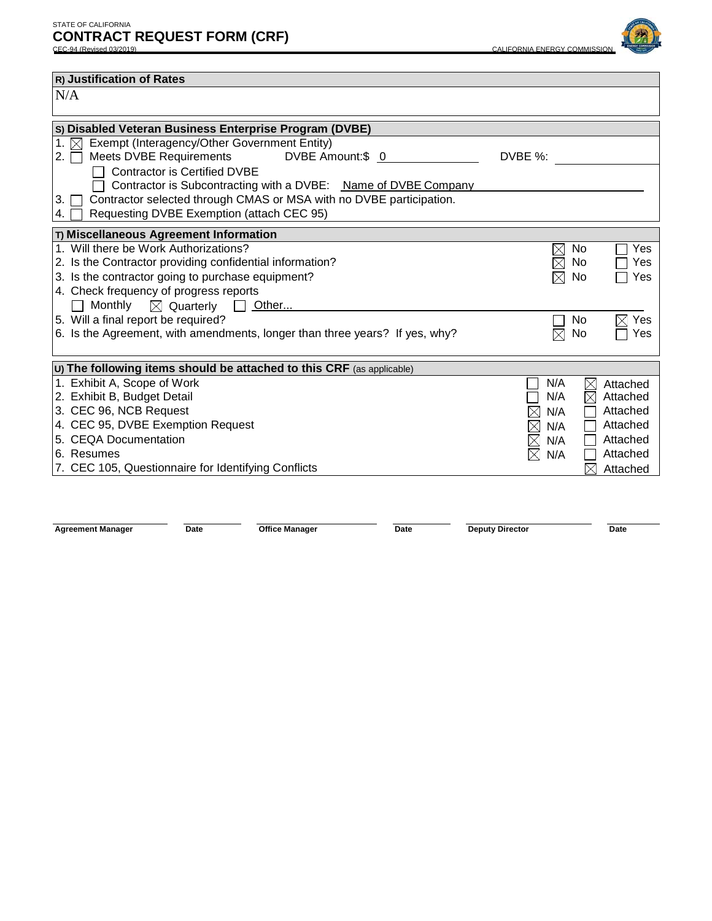

| R) Justification of Rates                                                   |                              |  |  |  |  |
|-----------------------------------------------------------------------------|------------------------------|--|--|--|--|
| N/A                                                                         |                              |  |  |  |  |
|                                                                             |                              |  |  |  |  |
| S) Disabled Veteran Business Enterprise Program (DVBE)                      |                              |  |  |  |  |
| Exempt (Interagency/Other Government Entity)<br>1. $\times$                 |                              |  |  |  |  |
| Meets DVBE Requirements<br>DVBE Amount:\$ 0<br>2.                           | DVBE %:                      |  |  |  |  |
| <b>Contractor is Certified DVBE</b>                                         |                              |  |  |  |  |
| Contractor is Subcontracting with a DVBE: Name of DVBE Company              |                              |  |  |  |  |
| Contractor selected through CMAS or MSA with no DVBE participation.<br>3. I |                              |  |  |  |  |
| Requesting DVBE Exemption (attach CEC 95)<br>4.                             |                              |  |  |  |  |
| T) Miscellaneous Agreement Information                                      |                              |  |  |  |  |
| 1. Will there be Work Authorizations?                                       | No<br>Yes<br>$\boxtimes$     |  |  |  |  |
| 2. Is the Contractor providing confidential information?                    | No<br>Yes<br>$\times$        |  |  |  |  |
| 3. Is the contractor going to purchase equipment?                           | No<br>Yes<br>$\times$        |  |  |  |  |
| 4. Check frequency of progress reports                                      |                              |  |  |  |  |
| Monthly<br>$\boxtimes$ Quarterly<br>$\Box$ Other                            |                              |  |  |  |  |
| 5. Will a final report be required?                                         | No.<br>Yes                   |  |  |  |  |
| 6. Is the Agreement, with amendments, longer than three years? If yes, why? | No<br>Yes                    |  |  |  |  |
|                                                                             |                              |  |  |  |  |
| U) The following items should be attached to this CRF (as applicable)       |                              |  |  |  |  |
| 1. Exhibit A, Scope of Work                                                 | N/A<br>$\times$<br>Attached  |  |  |  |  |
| 2. Exhibit B, Budget Detail                                                 | N/A<br>Attached              |  |  |  |  |
| 3. CEC 96, NCB Request                                                      | Attached<br>$\times$<br>N/A  |  |  |  |  |
| 4. CEC 95, DVBE Exemption Request                                           | Attached<br>$\times$<br>N/A  |  |  |  |  |
| 5. CEQA Documentation                                                       | Attached<br>$\bowtie$<br>N/A |  |  |  |  |
| 6. Resumes                                                                  | Attached<br>N/A<br>$\times$  |  |  |  |  |
| 7. CEC 105, Questionnaire for Identifying Conflicts                         | Attached                     |  |  |  |  |
|                                                                             |                              |  |  |  |  |

**Agreement Manager Date Date Deputy Director Date Deputy Director Date**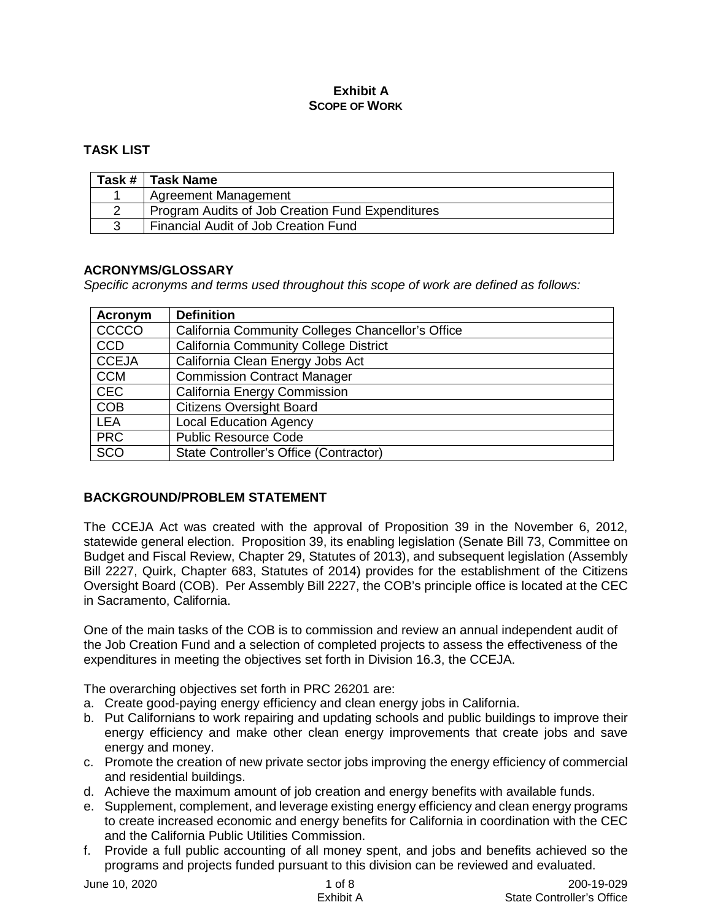#### **Exhibit A SCOPE OF WORK**

# **TASK LIST**

| Task #   Task Name                               |
|--------------------------------------------------|
| <b>Agreement Management</b>                      |
| Program Audits of Job Creation Fund Expenditures |
| Financial Audit of Job Creation Fund             |

#### **ACRONYMS/GLOSSARY**

*Specific acronyms and terms used throughout this scope of work are defined as follows:*

| Acronym      | <b>Definition</b>                                 |
|--------------|---------------------------------------------------|
| CCCCO        | California Community Colleges Chancellor's Office |
| <b>CCD</b>   | <b>California Community College District</b>      |
| <b>CCEJA</b> | California Clean Energy Jobs Act                  |
| <b>CCM</b>   | <b>Commission Contract Manager</b>                |
| <b>CEC</b>   | California Energy Commission                      |
| <b>COB</b>   | <b>Citizens Oversight Board</b>                   |
| <b>LEA</b>   | <b>Local Education Agency</b>                     |
| <b>PRC</b>   | <b>Public Resource Code</b>                       |
| <b>SCO</b>   | State Controller's Office (Contractor)            |

#### **BACKGROUND/PROBLEM STATEMENT**

The CCEJA Act was created with the approval of Proposition 39 in the November 6, 2012, statewide general election. Proposition 39, its enabling legislation (Senate Bill 73, Committee on Budget and Fiscal Review, Chapter 29, Statutes of 2013), and subsequent legislation (Assembly Bill 2227, Quirk, Chapter 683, Statutes of 2014) provides for the establishment of the Citizens Oversight Board (COB). Per Assembly Bill 2227, the COB's principle office is located at the CEC in Sacramento, California.

One of the main tasks of the COB is to commission and review an annual independent audit of the Job Creation Fund and a selection of completed projects to assess the effectiveness of the expenditures in meeting the objectives set forth in Division 16.3, the CCEJA.

The overarching objectives set forth in PRC 26201 are:

- a. Create good-paying energy efficiency and clean energy jobs in California.
- b. Put Californians to work repairing and updating schools and public buildings to improve their energy efficiency and make other clean energy improvements that create jobs and save energy and money.
- c. Promote the creation of new private sector jobs improving the energy efficiency of commercial and residential buildings.
- d. Achieve the maximum amount of job creation and energy benefits with available funds.
- e. Supplement, complement, and leverage existing energy efficiency and clean energy programs to create increased economic and energy benefits for California in coordination with the CEC and the California Public Utilities Commission.
- f. Provide a full public accounting of all money spent, and jobs and benefits achieved so the programs and projects funded pursuant to this division can be reviewed and evaluated.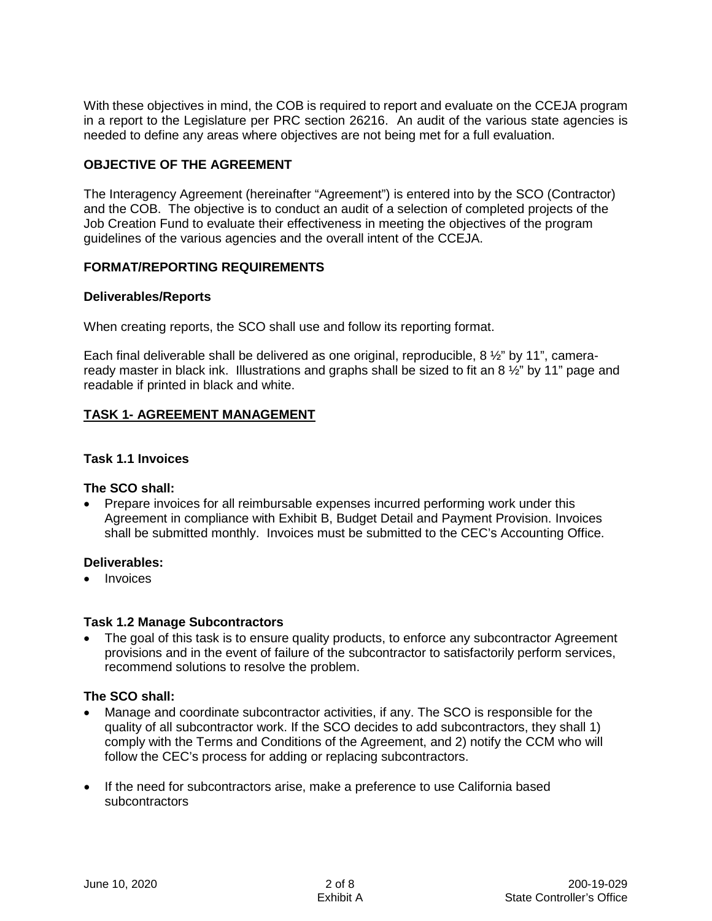With these objectives in mind, the COB is required to report and evaluate on the CCEJA program in a report to the Legislature per PRC section 26216. An audit of the various state agencies is needed to define any areas where objectives are not being met for a full evaluation.

#### **OBJECTIVE OF THE AGREEMENT**

The Interagency Agreement (hereinafter "Agreement") is entered into by the SCO (Contractor) and the COB. The objective is to conduct an audit of a selection of completed projects of the Job Creation Fund to evaluate their effectiveness in meeting the objectives of the program guidelines of the various agencies and the overall intent of the CCEJA.

#### **FORMAT/REPORTING REQUIREMENTS**

#### **Deliverables/Reports**

When creating reports, the SCO shall use and follow its reporting format.

Each final deliverable shall be delivered as one original, reproducible, 8 ½" by 11", cameraready master in black ink. Illustrations and graphs shall be sized to fit an 8  $\frac{1}{2}$ " by 11" page and readable if printed in black and white.

## **TASK 1- AGREEMENT MANAGEMENT**

#### **Task 1.1 Invoices**

#### **The SCO shall:**

• Prepare invoices for all reimbursable expenses incurred performing work under this Agreement in compliance with Exhibit B, Budget Detail and Payment Provision. Invoices shall be submitted monthly. Invoices must be submitted to the CEC's Accounting Office.

#### **Deliverables:**

• Invoices

#### **Task 1.2 Manage Subcontractors**

The goal of this task is to ensure quality products, to enforce any subcontractor Agreement provisions and in the event of failure of the subcontractor to satisfactorily perform services, recommend solutions to resolve the problem.

#### **The SCO shall:**

- Manage and coordinate subcontractor activities, if any. The SCO is responsible for the quality of all subcontractor work. If the SCO decides to add subcontractors, they shall 1) comply with the Terms and Conditions of the Agreement, and 2) notify the CCM who will follow the CEC's process for adding or replacing subcontractors.
- If the need for subcontractors arise, make a preference to use California based subcontractors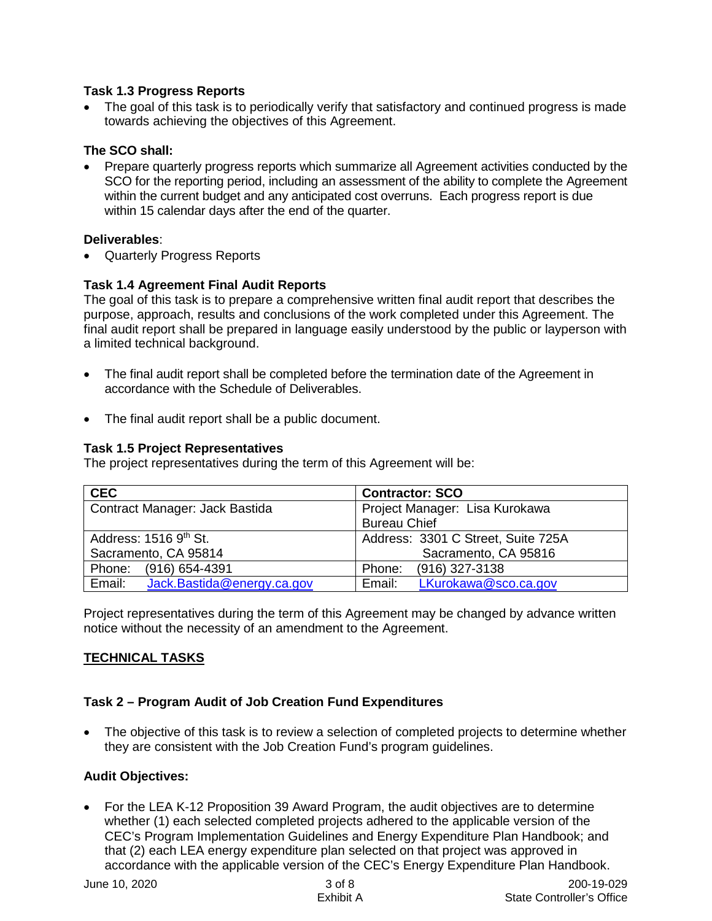## **Task 1.3 Progress Reports**

The goal of this task is to periodically verify that satisfactory and continued progress is made towards achieving the objectives of this Agreement.

## **The SCO shall:**

• Prepare quarterly progress reports which summarize all Agreement activities conducted by the SCO for the reporting period, including an assessment of the ability to complete the Agreement within the current budget and any anticipated cost overruns. Each progress report is due within 15 calendar days after the end of the quarter.

## **Deliverables**:

• Quarterly Progress Reports

# **Task 1.4 Agreement Final Audit Reports**

The goal of this task is to prepare a comprehensive written final audit report that describes the purpose, approach, results and conclusions of the work completed under this Agreement. The final audit report shall be prepared in language easily understood by the public or layperson with a limited technical background.

- The final audit report shall be completed before the termination date of the Agreement in accordance with the Schedule of Deliverables.
- The final audit report shall be a public document.

#### **Task 1.5 Project Representatives**

The project representatives during the term of this Agreement will be:

| <b>CEC</b>                           | <b>Contractor: SCO</b>             |  |  |
|--------------------------------------|------------------------------------|--|--|
| Contract Manager: Jack Bastida       | Project Manager: Lisa Kurokawa     |  |  |
|                                      | <b>Bureau Chief</b>                |  |  |
| Address: 1516 9th St.                | Address: 3301 C Street, Suite 725A |  |  |
| Sacramento, CA 95814                 | Sacramento, CA 95816               |  |  |
| Phone: (916) 654-4391                | $(916)$ 327-3138<br>Phone:         |  |  |
| Jack.Bastida@energy.ca.gov<br>Email: | LKurokawa@sco.ca.gov<br>Email:     |  |  |

Project representatives during the term of this Agreement may be changed by advance written notice without the necessity of an amendment to the Agreement.

# **TECHNICAL TASKS**

# **Task 2 – Program Audit of Job Creation Fund Expenditures**

• The objective of this task is to review a selection of completed projects to determine whether they are consistent with the Job Creation Fund's program guidelines.

#### **Audit Objectives:**

• For the LEA K-12 Proposition 39 Award Program, the audit objectives are to determine whether (1) each selected completed projects adhered to the applicable version of the CEC's Program Implementation Guidelines and Energy Expenditure Plan Handbook; and that (2) each LEA energy expenditure plan selected on that project was approved in accordance with the applicable version of the CEC's Energy Expenditure Plan Handbook.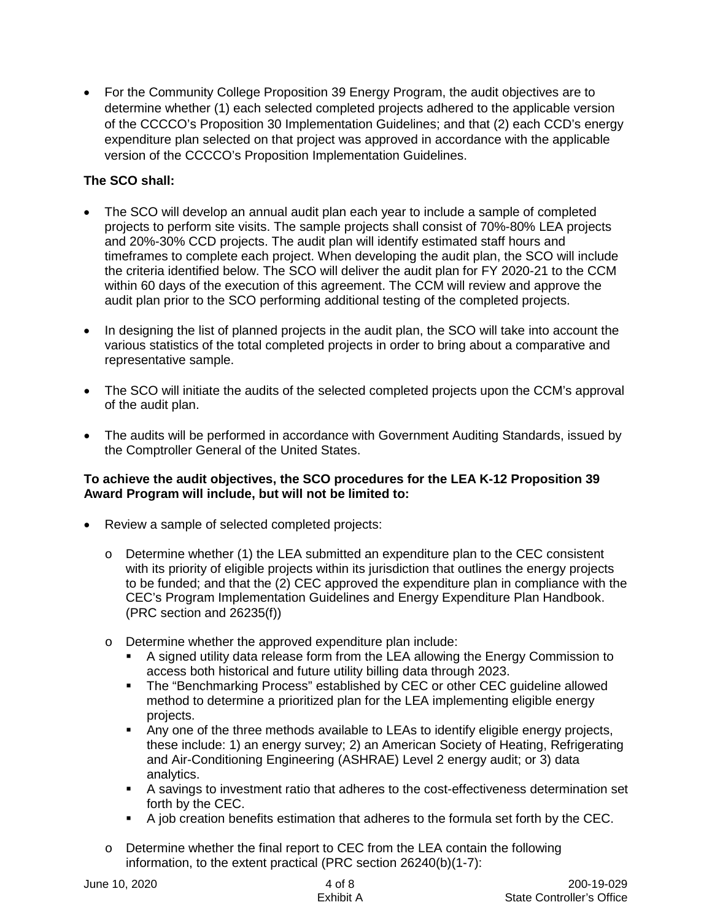• For the Community College Proposition 39 Energy Program, the audit objectives are to determine whether (1) each selected completed projects adhered to the applicable version of the CCCCO's Proposition 30 Implementation Guidelines; and that (2) each CCD's energy expenditure plan selected on that project was approved in accordance with the applicable version of the CCCCO's Proposition Implementation Guidelines.

# **The SCO shall:**

- The SCO will develop an annual audit plan each year to include a sample of completed projects to perform site visits. The sample projects shall consist of 70%-80% LEA projects and 20%-30% CCD projects. The audit plan will identify estimated staff hours and timeframes to complete each project. When developing the audit plan, the SCO will include the criteria identified below. The SCO will deliver the audit plan for FY 2020-21 to the CCM within 60 days of the execution of this agreement. The CCM will review and approve the audit plan prior to the SCO performing additional testing of the completed projects.
- In designing the list of planned projects in the audit plan, the SCO will take into account the various statistics of the total completed projects in order to bring about a comparative and representative sample.
- The SCO will initiate the audits of the selected completed projects upon the CCM's approval of the audit plan.
- The audits will be performed in accordance with Government Auditing Standards, issued by the Comptroller General of the United States.

#### **To achieve the audit objectives, the SCO procedures for the LEA K-12 Proposition 39 Award Program will include, but will not be limited to:**

- Review a sample of selected completed projects:
	- $\circ$  Determine whether (1) the LEA submitted an expenditure plan to the CEC consistent with its priority of eligible projects within its jurisdiction that outlines the energy projects to be funded; and that the (2) CEC approved the expenditure plan in compliance with the CEC's Program Implementation Guidelines and Energy Expenditure Plan Handbook. (PRC section and 26235(f))
	- o Determine whether the approved expenditure plan include:
		- A signed utility data release form from the LEA allowing the Energy Commission to access both historical and future utility billing data through 2023.
		- The "Benchmarking Process" established by CEC or other CEC guideline allowed method to determine a prioritized plan for the LEA implementing eligible energy projects.
		- Any one of the three methods available to LEAs to identify eligible energy projects, these include: 1) an energy survey; 2) an American Society of Heating, Refrigerating and Air-Conditioning Engineering (ASHRAE) Level 2 energy audit; or 3) data analytics.
		- A savings to investment ratio that adheres to the cost-effectiveness determination set forth by the CEC.
		- A job creation benefits estimation that adheres to the formula set forth by the CEC.
	- $\circ$  Determine whether the final report to CEC from the LEA contain the following information, to the extent practical (PRC section 26240(b)(1-7):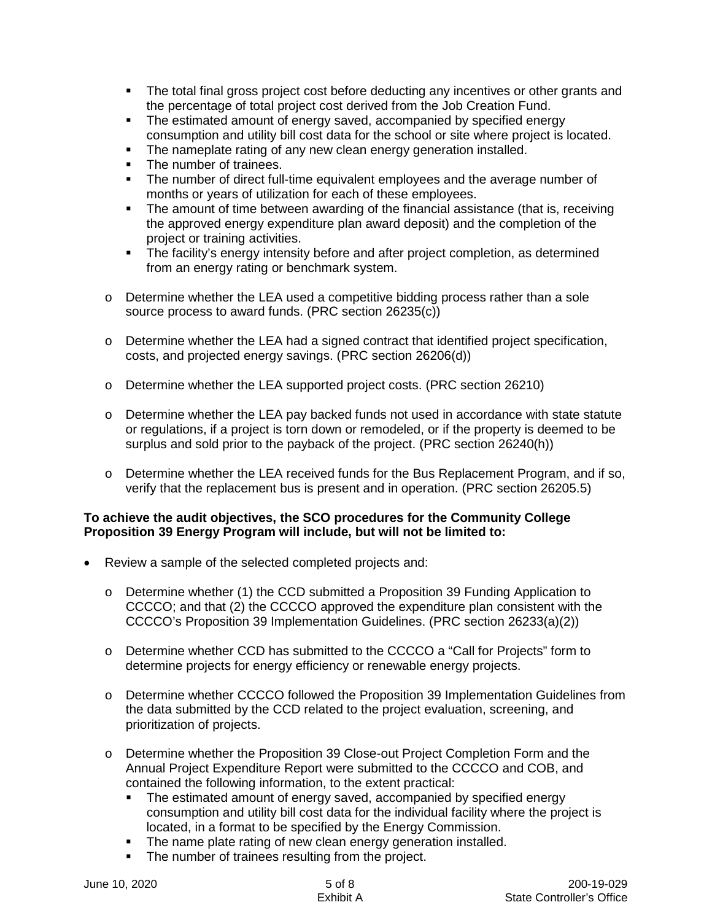- The total final gross project cost before deducting any incentives or other grants and the percentage of total project cost derived from the Job Creation Fund.
- The estimated amount of energy saved, accompanied by specified energy consumption and utility bill cost data for the school or site where project is located.
- The nameplate rating of any new clean energy generation installed.
- The number of trainees.
- The number of direct full-time equivalent employees and the average number of months or years of utilization for each of these employees.
- The amount of time between awarding of the financial assistance (that is, receiving the approved energy expenditure plan award deposit) and the completion of the project or training activities.
- The facility's energy intensity before and after project completion, as determined from an energy rating or benchmark system.
- $\circ$  Determine whether the LEA used a competitive bidding process rather than a sole source process to award funds. (PRC section 26235(c))
- o Determine whether the LEA had a signed contract that identified project specification, costs, and projected energy savings. (PRC section 26206(d))
- o Determine whether the LEA supported project costs. (PRC section 26210)
- $\circ$  Determine whether the LEA pay backed funds not used in accordance with state statute or regulations, if a project is torn down or remodeled, or if the property is deemed to be surplus and sold prior to the payback of the project. (PRC section 26240(h))
- o Determine whether the LEA received funds for the Bus Replacement Program, and if so, verify that the replacement bus is present and in operation. (PRC section 26205.5)

#### **To achieve the audit objectives, the SCO procedures for the Community College Proposition 39 Energy Program will include, but will not be limited to:**

- Review a sample of the selected completed projects and:
	- o Determine whether (1) the CCD submitted a Proposition 39 Funding Application to CCCCO; and that (2) the CCCCO approved the expenditure plan consistent with the CCCCO's Proposition 39 Implementation Guidelines. (PRC section 26233(a)(2))
	- o Determine whether CCD has submitted to the CCCCO a "Call for Projects" form to determine projects for energy efficiency or renewable energy projects.
	- o Determine whether CCCCO followed the Proposition 39 Implementation Guidelines from the data submitted by the CCD related to the project evaluation, screening, and prioritization of projects.
	- o Determine whether the Proposition 39 Close-out Project Completion Form and the Annual Project Expenditure Report were submitted to the CCCCO and COB, and contained the following information, to the extent practical:
		- The estimated amount of energy saved, accompanied by specified energy consumption and utility bill cost data for the individual facility where the project is located, in a format to be specified by the Energy Commission.
		- The name plate rating of new clean energy generation installed.
		- The number of trainees resulting from the project.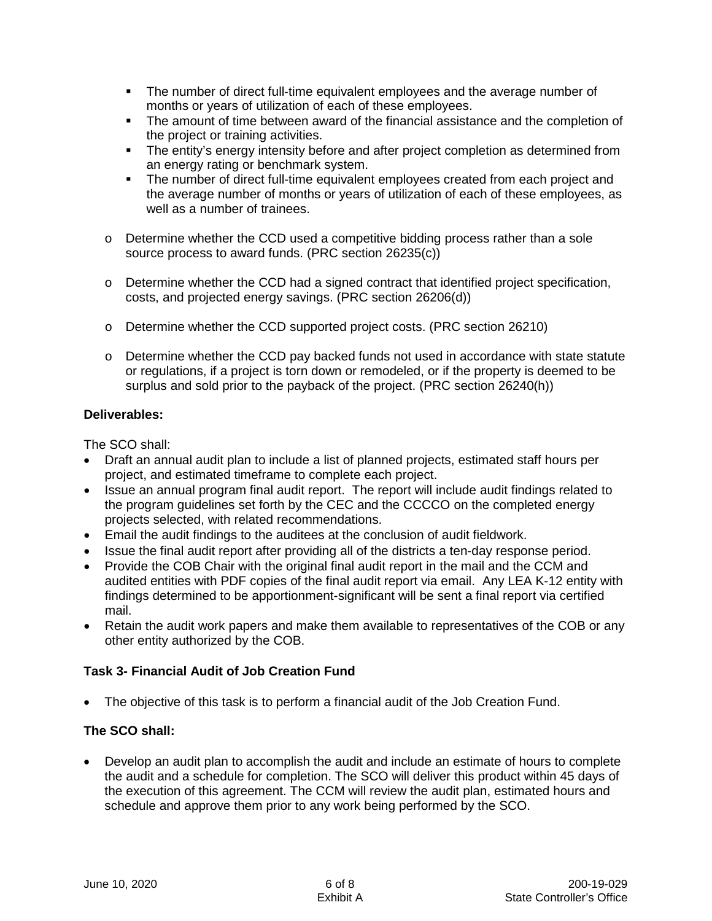- The number of direct full-time equivalent employees and the average number of months or years of utilization of each of these employees.
- The amount of time between award of the financial assistance and the completion of the project or training activities.
- The entity's energy intensity before and after project completion as determined from an energy rating or benchmark system.
- The number of direct full-time equivalent employees created from each project and the average number of months or years of utilization of each of these employees, as well as a number of trainees.
- $\circ$  Determine whether the CCD used a competitive bidding process rather than a sole source process to award funds. (PRC section 26235(c))
- $\circ$  Determine whether the CCD had a signed contract that identified project specification, costs, and projected energy savings. (PRC section 26206(d))
- o Determine whether the CCD supported project costs. (PRC section 26210)
- $\circ$  Determine whether the CCD pay backed funds not used in accordance with state statute or regulations, if a project is torn down or remodeled, or if the property is deemed to be surplus and sold prior to the payback of the project. (PRC section 26240(h))

## **Deliverables:**

The SCO shall:

- Draft an annual audit plan to include a list of planned projects, estimated staff hours per project, and estimated timeframe to complete each project.
- Issue an annual program final audit report. The report will include audit findings related to the program guidelines set forth by the CEC and the CCCCO on the completed energy projects selected, with related recommendations.
- Email the audit findings to the auditees at the conclusion of audit fieldwork.
- Issue the final audit report after providing all of the districts a ten-day response period.
- Provide the COB Chair with the original final audit report in the mail and the CCM and audited entities with PDF copies of the final audit report via email. Any LEA K-12 entity with findings determined to be apportionment-significant will be sent a final report via certified mail.
- Retain the audit work papers and make them available to representatives of the COB or any other entity authorized by the COB.

# **Task 3- Financial Audit of Job Creation Fund**

• The objective of this task is to perform a financial audit of the Job Creation Fund.

# **The SCO shall:**

• Develop an audit plan to accomplish the audit and include an estimate of hours to complete the audit and a schedule for completion. The SCO will deliver this product within 45 days of the execution of this agreement. The CCM will review the audit plan, estimated hours and schedule and approve them prior to any work being performed by the SCO.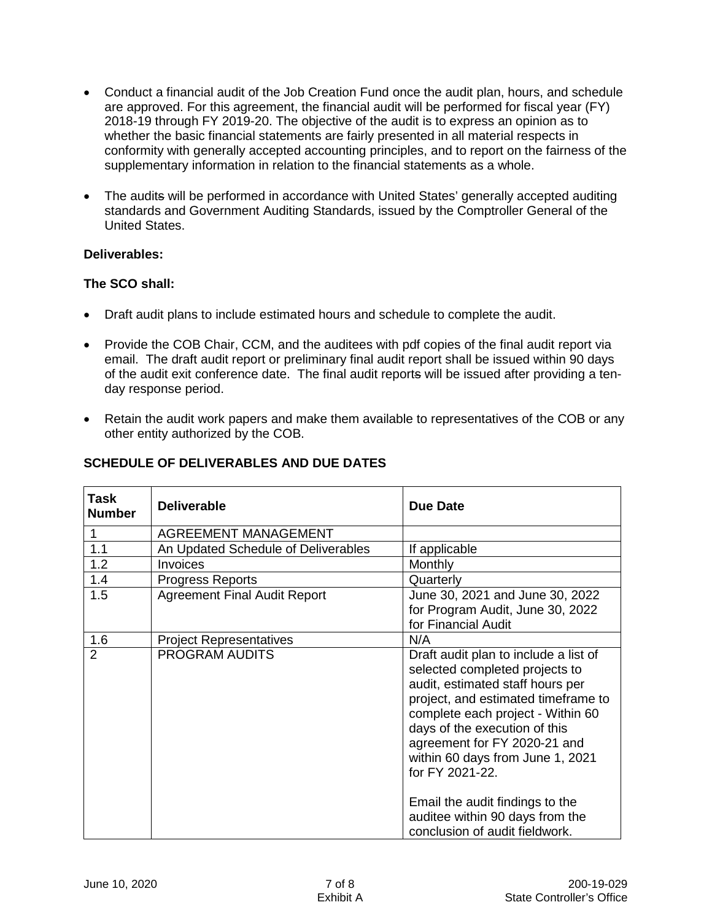- Conduct a financial audit of the Job Creation Fund once the audit plan, hours, and schedule are approved. For this agreement, the financial audit will be performed for fiscal year (FY) 2018-19 through FY 2019-20. The objective of the audit is to express an opinion as to whether the basic financial statements are fairly presented in all material respects in conformity with generally accepted accounting principles, and to report on the fairness of the supplementary information in relation to the financial statements as a whole.
- The audits will be performed in accordance with United States' generally accepted auditing standards and Government Auditing Standards, issued by the Comptroller General of the United States.

#### **Deliverables:**

#### **The SCO shall:**

- Draft audit plans to include estimated hours and schedule to complete the audit.
- Provide the COB Chair, CCM, and the auditees with pdf copies of the final audit report via email. The draft audit report or preliminary final audit report shall be issued within 90 days of the audit exit conference date. The final audit reports will be issued after providing a tenday response period.
- Retain the audit work papers and make them available to representatives of the COB or any other entity authorized by the COB.

| <b>Deliverable</b>                  | <b>Due Date</b>                                                                                                                                                                                                                                                                                                                                                                                                         |
|-------------------------------------|-------------------------------------------------------------------------------------------------------------------------------------------------------------------------------------------------------------------------------------------------------------------------------------------------------------------------------------------------------------------------------------------------------------------------|
| <b>AGREEMENT MANAGEMENT</b>         |                                                                                                                                                                                                                                                                                                                                                                                                                         |
| An Updated Schedule of Deliverables | If applicable                                                                                                                                                                                                                                                                                                                                                                                                           |
| Invoices                            | Monthly                                                                                                                                                                                                                                                                                                                                                                                                                 |
| <b>Progress Reports</b>             | Quarterly                                                                                                                                                                                                                                                                                                                                                                                                               |
| <b>Agreement Final Audit Report</b> | June 30, 2021 and June 30, 2022<br>for Program Audit, June 30, 2022<br>for Financial Audit                                                                                                                                                                                                                                                                                                                              |
| <b>Project Representatives</b>      | N/A                                                                                                                                                                                                                                                                                                                                                                                                                     |
| <b>PROGRAM AUDITS</b>               | Draft audit plan to include a list of<br>selected completed projects to<br>audit, estimated staff hours per<br>project, and estimated timeframe to<br>complete each project - Within 60<br>days of the execution of this<br>agreement for FY 2020-21 and<br>within 60 days from June 1, 2021<br>for FY 2021-22.<br>Email the audit findings to the<br>auditee within 90 days from the<br>conclusion of audit fieldwork. |
|                                     |                                                                                                                                                                                                                                                                                                                                                                                                                         |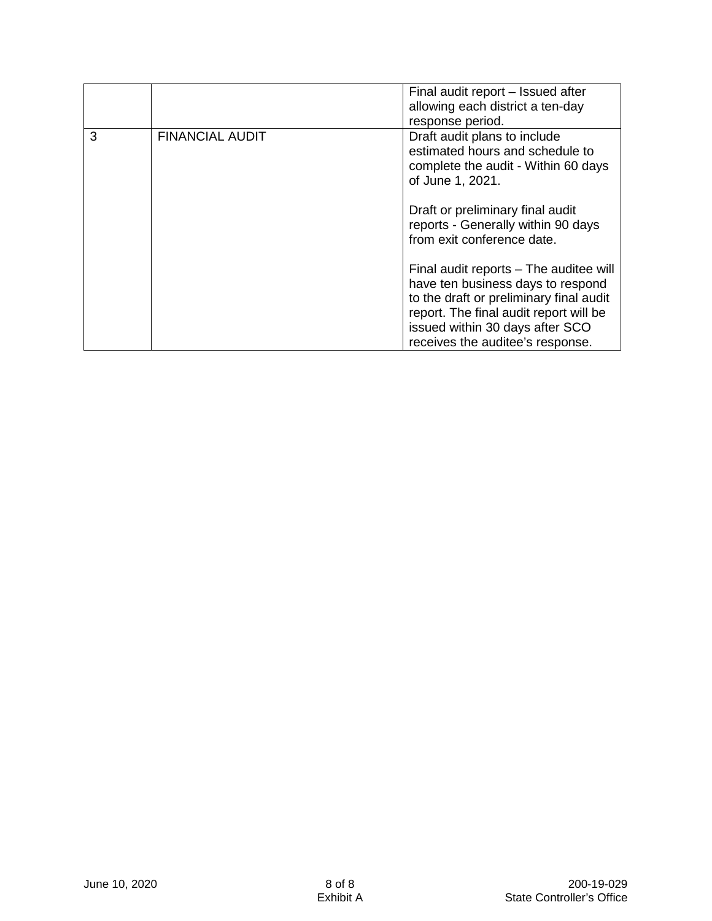|   |                        | Final audit report – Issued after<br>allowing each district a ten-day<br>response period.                                                                                                                                               |
|---|------------------------|-----------------------------------------------------------------------------------------------------------------------------------------------------------------------------------------------------------------------------------------|
| 3 | <b>FINANCIAL AUDIT</b> | Draft audit plans to include<br>estimated hours and schedule to<br>complete the audit - Within 60 days<br>of June 1, 2021.                                                                                                              |
|   |                        | Draft or preliminary final audit<br>reports - Generally within 90 days<br>from exit conference date.                                                                                                                                    |
|   |                        | Final audit reports – The auditee will<br>have ten business days to respond<br>to the draft or preliminary final audit<br>report. The final audit report will be<br>issued within 30 days after SCO<br>receives the auditee's response. |